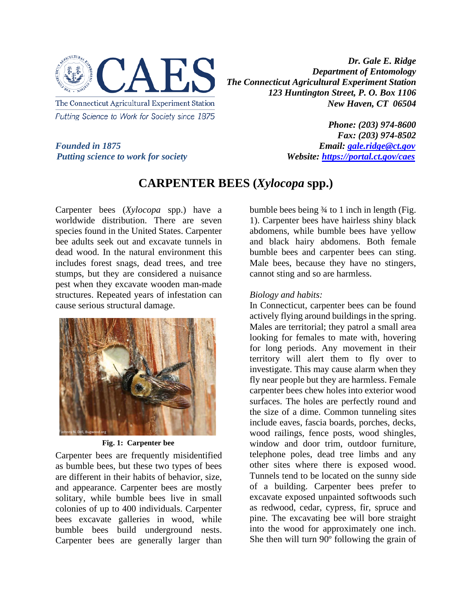

Putting Science to Work for Society since 1875

*Dr. Gale E. Ridge Department of Entomology The Connecticut Agricultural Experiment Station 123 Huntington Street, P. O. Box 1106 New Haven, CT 06504*

*Putting science to work for society Website: <https://portal.ct.gov/caes>*

*Phone: (203) 974-8600 Fax: (203) 974-8502 Founded in 1875 Email: [gale.ridge@ct.gov](mailto:gale.ridge@ct.gov)*

## **CARPENTER BEES (***Xylocopa* **spp.)**

Carpenter bees (*Xylocopa* spp.) have a worldwide distribution. There are seven species found in the United States. Carpenter bee adults seek out and excavate tunnels in dead wood. In the natural environment this includes forest snags, dead trees, and tree stumps, but they are considered a nuisance pest when they excavate wooden man-made structures. Repeated years of infestation can cause serious structural damage.



**Fig. 1: Carpenter bee**

Carpenter bees are frequently misidentified as bumble bees, but these two types of bees are different in their habits of behavior, size, and appearance. Carpenter bees are mostly solitary, while bumble bees live in small colonies of up to 400 individuals. Carpenter bees excavate galleries in wood, while bumble bees build underground nests. Carpenter bees are generally larger than

bumble bees being ¾ to 1 inch in length (Fig. 1). Carpenter bees have hairless shiny black abdomens, while bumble bees have yellow and black hairy abdomens. Both female bumble bees and carpenter bees can sting. Male bees, because they have no stingers, cannot sting and so are harmless.

## *Biology and habits:*

In Connecticut, carpenter bees can be found actively flying around buildings in the spring. Males are territorial; they patrol a small area looking for females to mate with, hovering for long periods. Any movement in their territory will alert them to fly over to investigate. This may cause alarm when they fly near people but they are harmless. Female carpenter bees chew holes into exterior wood surfaces. The holes are perfectly round and the size of a dime. Common tunneling sites include eaves, fascia boards, porches, decks, wood railings, fence posts, wood shingles, window and door trim, outdoor furniture, telephone poles, dead tree limbs and any other sites where there is exposed wood. Tunnels tend to be located on the sunny side of a building. Carpenter bees prefer to excavate exposed unpainted softwoods such as redwood, cedar, cypress, fir, spruce and pine. The excavating bee will bore straight into the wood for approximately one inch. She then will turn 90º following the grain of